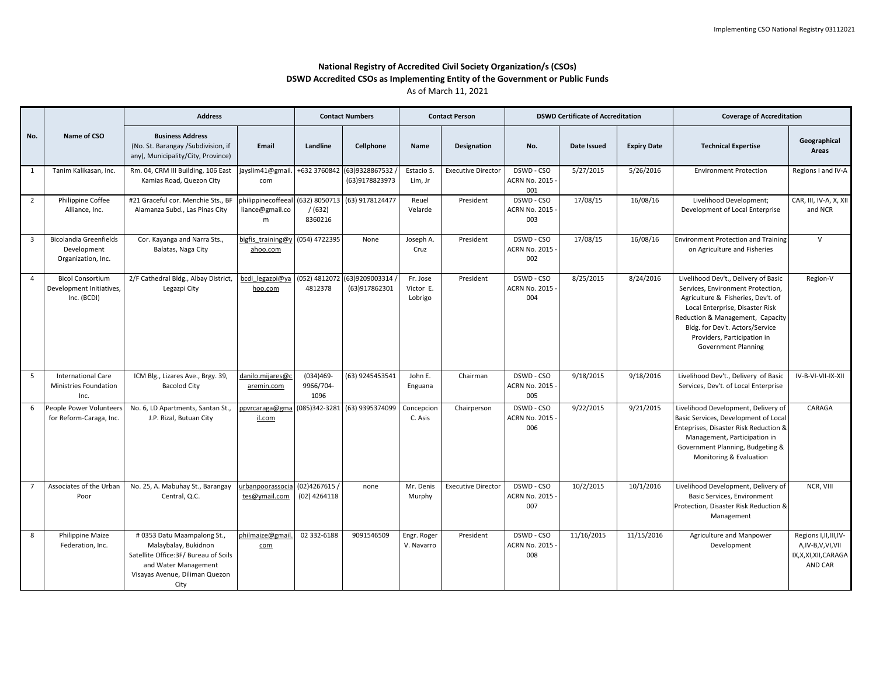## **National Registry of Accredited Civil Society Organization/s (CSOs) DSWD Accredited CSOs as Implementing Entity of the Government or Public Funds**

As of March 11, 2021

|                         |                                                                    | <b>Address</b>                                                                                                                                                 |                                             |                                | <b>Contact Numbers</b>                          |                                  | <b>Contact Person</b>     |                                           | <b>DSWD Certificate of Accreditation</b> |                    | <b>Coverage of Accreditation</b>                                                                                                                                                                                                                                                       |                                                                                 |
|-------------------------|--------------------------------------------------------------------|----------------------------------------------------------------------------------------------------------------------------------------------------------------|---------------------------------------------|--------------------------------|-------------------------------------------------|----------------------------------|---------------------------|-------------------------------------------|------------------------------------------|--------------------|----------------------------------------------------------------------------------------------------------------------------------------------------------------------------------------------------------------------------------------------------------------------------------------|---------------------------------------------------------------------------------|
| No.                     | Name of CSO                                                        | <b>Business Address</b><br>(No. St. Barangay / Subdivision, if<br>any), Municipality/City, Province)                                                           | Email                                       | Landline                       | Cellphone                                       | <b>Name</b>                      | <b>Designation</b>        | No.                                       | Date Issued                              | <b>Expiry Date</b> | <b>Technical Expertise</b>                                                                                                                                                                                                                                                             | Geographical<br>Areas                                                           |
| 1                       | Tanim Kalikasan, Inc.                                              | Rm. 04, CRM III Building, 106 East<br>Kamias Road, Quezon City                                                                                                 | jayslim41@gmail.<br>com                     |                                | +632 3760842 (63)9328867532 /<br>(63)9178823973 | Estacio S.<br>Lim, Jr            | <b>Executive Director</b> | DSWD - CSO<br><b>ACRN No. 2015</b><br>001 | 5/27/2015                                | 5/26/2016          | <b>Environment Protection</b>                                                                                                                                                                                                                                                          | Regions I and IV-A                                                              |
| 2                       | Philippine Coffee<br>Alliance, Inc.                                | #21 Graceful cor. Menchie Sts., BF<br>Alamanza Subd., Las Pinas City                                                                                           | philippinecoffeeal<br>liance@gmail.co<br>m  | /(632)<br>8360216              | (632) 8050713 (63) 9178124477                   | Reuel<br>Velarde                 | President                 | DSWD - CSO<br><b>ACRN No. 2015</b><br>003 | 17/08/15                                 | 16/08/16           | Livelihood Development;<br>Development of Local Enterprise                                                                                                                                                                                                                             | CAR, III, IV-A, X, XII<br>and NCR                                               |
| $\overline{\mathbf{3}}$ | <b>Bicolandia Greenfields</b><br>Development<br>Organization, Inc. | Cor. Kayanga and Narra Sts.,<br>Balatas, Naga City                                                                                                             | bigfis training@y (054) 4722395<br>ahoo.com |                                | None                                            | Joseph A.<br>Cruz                | President                 | DSWD - CSO<br><b>ACRN No. 2015</b><br>002 | 17/08/15                                 | 16/08/16           | <b>Environment Protection and Training</b><br>on Agriculture and Fisheries                                                                                                                                                                                                             | $\vee$                                                                          |
| $\overline{4}$          | <b>Bicol Consortium</b><br>Development Initiatives,<br>Inc. (BCDI) | 2/F Cathedral Bldg., Albay District,<br>Legazpi City                                                                                                           | bcdi legazpi@ya<br>hoo.com                  | (052) 4812072<br>4812378       | (63)9209003314<br>(63)917862301                 | Fr. Jose<br>Victor E.<br>Lobrigo | President                 | DSWD - CSO<br><b>ACRN No. 2015</b><br>004 | 8/25/2015                                | 8/24/2016          | Livelihood Dev't., Delivery of Basic<br>Services, Environment Protection,<br>Agriculture & Fisheries, Dev't. of<br>Local Enterprise, Disaster Risk<br>Reduction & Management, Capacity<br>Bldg. for Dev't. Actors/Service<br>Providers, Participation in<br><b>Government Planning</b> | Region-V                                                                        |
| - 5                     | <b>International Care</b><br><b>Ministries Foundation</b><br>Inc.  | ICM Blg., Lizares Ave., Brgy. 39,<br><b>Bacolod City</b>                                                                                                       | danilo.mijares@c<br>aremin.com              | (034)469<br>9966/704-<br>1096  | (63) 9245453541                                 | John E.<br>Enguana               | Chairman                  | DSWD - CSO<br><b>ACRN No. 2015</b><br>005 | 9/18/2015                                | 9/18/2016          | Livelihood Dev't., Delivery of Basic<br>Services, Dev't. of Local Enterprise                                                                                                                                                                                                           | IV-B-VI-VII-IX-XII                                                              |
| 6                       | People Power Volunteers<br>for Reform-Caraga, Inc.                 | No. 6, LD Apartments, Santan St.,<br>J.P. Rizal, Butuan City                                                                                                   | ppyrcaraga@gma<br>il.com                    | (085)342-3281                  | (63) 9395374099                                 | Concepcion<br>C. Asis            | Chairperson               | DSWD - CSO<br><b>ACRN No. 2015</b><br>006 | 9/22/2015                                | 9/21/2015          | Livelihood Development, Delivery of<br>Basic Services, Development of Local<br>Enteprises, Disaster Risk Reduction &<br>Management, Participation in<br>Government Planning, Budgeting &<br>Monitoring & Evaluation                                                                    | CARAGA                                                                          |
| $\overline{7}$          | Associates of the Urban<br>Poor                                    | No. 25, A. Mabuhay St., Barangay<br>Central, Q.C.                                                                                                              | urbanpoorassocia<br>tes@ymail.com           | (02)4267615/<br>$(02)$ 4264118 | none                                            | Mr. Denis<br>Murphy              | <b>Executive Director</b> | DSWD - CSO<br><b>ACRN No. 2015</b><br>007 | 10/2/2015                                | 10/1/2016          | Livelihood Development, Delivery of<br>Basic Services, Environment<br>Protection, Disaster Risk Reduction &<br>Management                                                                                                                                                              | NCR, VIII                                                                       |
| 8                       | Philippine Maize<br>Federation, Inc.                               | #0353 Datu Maampalong St.,<br>Malaybalay, Bukidnon<br>Satellite Office: 3F / Bureau of Soils<br>and Water Management<br>Visayas Avenue, Diliman Quezon<br>City | philmaize@gmail<br>com                      | 02 332-6188                    | 9091546509                                      | Engr. Roger<br>V. Navarro        | President                 | DSWD - CSO<br><b>ACRN No. 2015</b><br>008 | 11/16/2015                               | 11/15/2016         | Agriculture and Manpower<br>Development                                                                                                                                                                                                                                                | Regions I, II, III, IV-<br>A, IV-B, V, VI, VII<br>IX,X,XI,XII,CARAGA<br>AND CAR |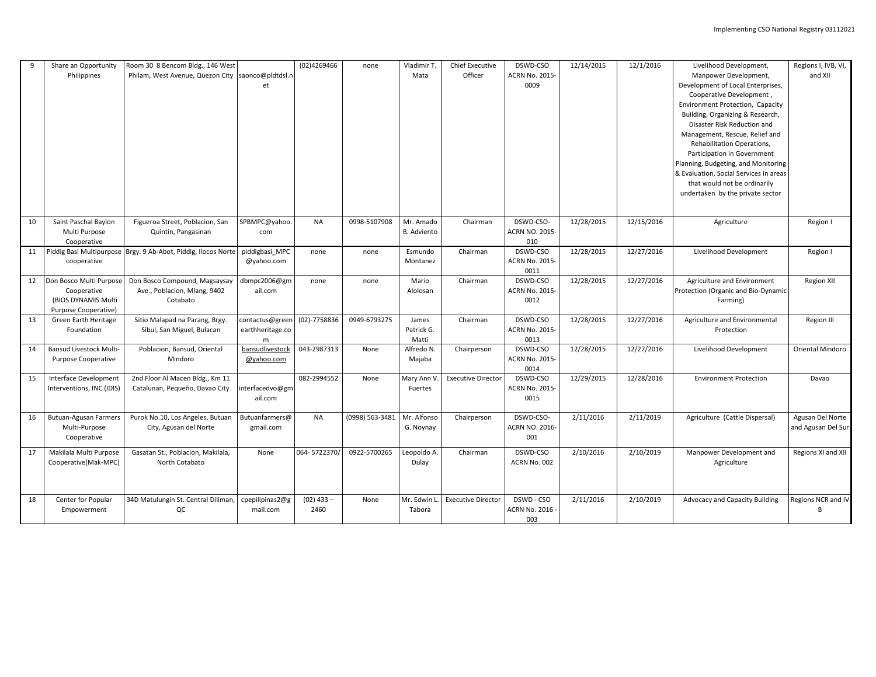| 9  | Share an Opportunity               | Room 30 8 Bencom Bldg., 146 West                               |                                     | (02)4269466  | none            | Vladimir T.         | Chief Executive           | DSWD-CSO              | 12/14/2015 | 12/1/2016  | Livelihood Development,                     | Regions I, IVB, VI, |
|----|------------------------------------|----------------------------------------------------------------|-------------------------------------|--------------|-----------------|---------------------|---------------------------|-----------------------|------------|------------|---------------------------------------------|---------------------|
|    | Philippines                        | Philam, West Avenue, Quezon City   saonco@pldtdsl.n            |                                     |              |                 | Mata                | Officer                   | <b>ACRN No. 2015-</b> |            |            | Manpower Development,                       | and XII             |
|    |                                    |                                                                | et                                  |              |                 |                     |                           | 0009                  |            |            | Development of Local Enterprises,           |                     |
|    |                                    |                                                                |                                     |              |                 |                     |                           |                       |            |            | Cooperative Development,                    |                     |
|    |                                    |                                                                |                                     |              |                 |                     |                           |                       |            |            | Environment Protection, Capacity            |                     |
|    |                                    |                                                                |                                     |              |                 |                     |                           |                       |            |            | Building, Organizing & Research,            |                     |
|    |                                    |                                                                |                                     |              |                 |                     |                           |                       |            |            | Disaster Risk Reduction and                 |                     |
|    |                                    |                                                                |                                     |              |                 |                     |                           |                       |            |            | Management, Rescue, Relief and              |                     |
|    |                                    |                                                                |                                     |              |                 |                     |                           |                       |            |            | Rehabilitation Operations,                  |                     |
|    |                                    |                                                                |                                     |              |                 |                     |                           |                       |            |            | Participation in Government                 |                     |
|    |                                    |                                                                |                                     |              |                 |                     |                           |                       |            |            | Planning, Budgeting, and Monitoring         |                     |
|    |                                    |                                                                |                                     |              |                 |                     |                           |                       |            |            | & Evaluation, Social Services in areas      |                     |
|    |                                    |                                                                |                                     |              |                 |                     |                           |                       |            |            | that would not be ordinarily                |                     |
|    |                                    |                                                                |                                     |              |                 |                     |                           |                       |            |            | undertaken by the private sector            |                     |
|    |                                    |                                                                |                                     |              |                 |                     |                           |                       |            |            |                                             |                     |
|    |                                    |                                                                |                                     |              |                 |                     |                           |                       |            |            |                                             |                     |
| 10 | Saint Paschal Baylon               | Figueroa Street, Poblacion, San                                | SPBMPC@yahoo.                       | <b>NA</b>    | 0998-5107908    | Mr. Amado           | Chairman                  | DSWD-CSO-             | 12/28/2015 | 12/15/2016 | Agriculture                                 | Region I            |
|    | Multi Purpose                      | Quintin, Pangasinan                                            | com                                 |              |                 | <b>B.</b> Adviento  |                           | <b>ACRN NO. 2015-</b> |            |            |                                             |                     |
|    | Cooperative                        |                                                                |                                     |              |                 |                     |                           | 010                   |            |            |                                             |                     |
| 11 |                                    | Piddig Basi Multipurpose Brgy. 9 Ab-Abot, Piddig, Ilocos Norte | piddigbasi MPC                      | none         | none            | Esmundo             | Chairman                  | DSWD-CSO              | 12/28/2015 | 12/27/2016 | Livelihood Development                      | Region I            |
|    | cooperative                        |                                                                | @yahoo.com                          |              |                 | Montanez            |                           | <b>ACRN No. 2015-</b> |            |            |                                             |                     |
|    |                                    |                                                                |                                     |              |                 |                     |                           | 0011                  |            |            |                                             |                     |
| 12 | Don Bosco Multi Purpose            | Don Bosco Compound, Magsaysay                                  | dbmpc2006@gm                        | none         | none            | Mario               | Chairman                  | DSWD-CSO              | 12/28/2015 | 12/27/2016 | Agriculture and Environment                 | Region XII          |
|    | Cooperative                        | Ave., Poblacion, Mlang, 9402                                   | ail.com                             |              |                 | Alolosan            |                           | <b>ACRN No. 2015-</b> |            |            | Protection (Organic and Bio-Dynamic         |                     |
|    | (BIOS DYNAMIS Multi                | Cotabato                                                       |                                     |              |                 |                     |                           | 0012                  |            |            | Farming)                                    |                     |
|    | Purpose Cooperative)               |                                                                |                                     |              |                 |                     |                           | DSWD-CSO              |            |            |                                             |                     |
| 13 | Green Earth Heritage<br>Foundation | Sitio Malapad na Parang, Brgy.<br>Sibul, San Miguel, Bulacan   | contactus@green<br>earthheritage.co | (02)-7758836 | 0949-6793275    | James<br>Patrick G. | Chairman                  | <b>ACRN No. 2015-</b> | 12/28/2015 | 12/27/2016 | Agriculture and Environmental<br>Protection | Region III          |
|    |                                    |                                                                |                                     |              |                 |                     |                           | 0013                  |            |            |                                             |                     |
| 14 | Bansud Livestock Multi-            | Poblacion, Bansud, Oriental                                    | m<br>bansudlivestock                | 043-2987313  | None            | Matti<br>Alfredo N. | Chairperson               | DSWD-CSO              | 12/28/2015 | 12/27/2016 | Livelihood Development                      | Oriental Mindoro    |
|    | Purpose Cooperative                | Mindoro                                                        | @yahoo.com                          |              |                 | Majaba              |                           | <b>ACRN No. 2015-</b> |            |            |                                             |                     |
|    |                                    |                                                                |                                     |              |                 |                     |                           | 0014                  |            |            |                                             |                     |
| 15 | Interface Development              | 2nd Floor Al Macen Bldg., Km 11                                |                                     | 082-2994552  | None            | Mary Ann \          | <b>Executive Director</b> | DSWD-CSO              | 12/29/2015 | 12/28/2016 | <b>Environment Protection</b>               | Davao               |
|    | Interventions, INC (IDIS)          | Catalunan, Pequeño, Davao City                                 | interfacedvo@gm                     |              |                 | Fuertes             |                           | <b>ACRN No. 2015-</b> |            |            |                                             |                     |
|    |                                    |                                                                | ail.com                             |              |                 |                     |                           | 0015                  |            |            |                                             |                     |
|    |                                    |                                                                |                                     |              |                 |                     |                           |                       |            |            |                                             |                     |
| 16 | <b>Butuan-Agusan Farmers</b>       | Purok No.10, Los Angeles, Butuan                               | Butuanfarmers@                      | <b>NA</b>    | (0998) 563-3481 | Mr. Alfonso         | Chairperson               | DSWD-CSO-             | 2/11/2016  | 2/11/2019  | Agriculture (Cattle Dispersal)              | Agusan Del Norte    |
|    | Multi-Purpose                      | City, Agusan del Norte                                         | gmail.com                           |              |                 | G. Noynay           |                           | ACRN NO. 2016-        |            |            |                                             | and Agusan Del Sur  |
|    | Cooperative                        |                                                                |                                     |              |                 |                     |                           | 001                   |            |            |                                             |                     |
| 17 | Makilala Multi Purpose             | Gasatan St., Poblacion, Makilala,                              | None                                | 064-5722370/ | 0922-5700265    | Leopoldo A.         | Chairman                  | DSWD-CSO              | 2/10/2016  | 2/10/2019  | Manpower Development and                    | Regions XI and XII  |
|    | Cooperative(Mak-MPC)               | North Cotabato                                                 |                                     |              |                 | Dulay               |                           | ACRN No. 002          |            |            | Agriculture                                 |                     |
|    |                                    |                                                                |                                     |              |                 |                     |                           |                       |            |            |                                             |                     |
|    |                                    |                                                                |                                     |              |                 |                     |                           |                       |            |            |                                             |                     |
|    |                                    |                                                                |                                     |              |                 |                     |                           |                       |            |            |                                             |                     |
| 18 | Center for Popular                 | 34D Matulungin St. Central Diliman,                            | cpepilipinas2@g                     | $(02)$ 433 - | None            | Mr. Edwin I         | <b>Executive Director</b> | DSWD - CSO            | 2/11/2016  | 2/10/2019  | Advocacy and Capacity Building              | Regions NCR and IV- |
|    | Empowerment                        | QC                                                             | mail.com                            | 2460         |                 | Tabora              |                           | ACRN No. 2016 -       |            |            |                                             | R                   |
|    |                                    |                                                                |                                     |              |                 |                     |                           | 003                   |            |            |                                             |                     |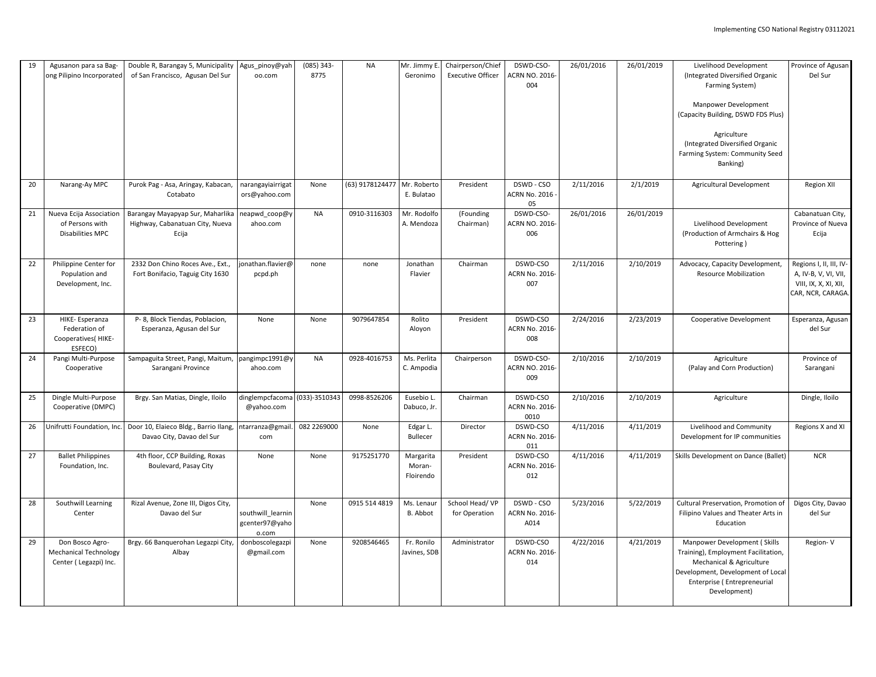| 19 | Agusanon para sa Bag-<br>ong Pilipino Incorporated                | Double R, Barangay 5, Municipality<br>of San Francisco, Agusan Del Sur       | Agus_pinoy@yah<br>oo.com                     | (085) 343-<br>8775 | <b>NA</b>                   | Mr. Jimmy E.<br>Geronimo         | Chairperson/Chief<br><b>Executive Officer</b> | DSWD-CSO-<br><b>ACRN NO. 2016-</b><br>004 | 26/01/2016 | 26/01/2019 | Livelihood Development<br>(Integrated Diversified Organic<br>Farming System)                                                                                                         | Province of Agusan<br>Del Sur                                                                 |
|----|-------------------------------------------------------------------|------------------------------------------------------------------------------|----------------------------------------------|--------------------|-----------------------------|----------------------------------|-----------------------------------------------|-------------------------------------------|------------|------------|--------------------------------------------------------------------------------------------------------------------------------------------------------------------------------------|-----------------------------------------------------------------------------------------------|
|    |                                                                   |                                                                              |                                              |                    |                             |                                  |                                               |                                           |            |            | Manpower Development<br>(Capacity Building, DSWD FDS Plus)                                                                                                                           |                                                                                               |
|    |                                                                   |                                                                              |                                              |                    |                             |                                  |                                               |                                           |            |            | Agriculture<br>(Integrated Diversified Organic<br>Farming System: Community Seed<br>Banking)                                                                                         |                                                                                               |
| 20 | Narang-Ay MPC                                                     | Purok Pag - Asa, Aringay, Kabacan,<br>Cotabato                               | narangayiairrigat<br>ors@yahoo.com           | None               | (63) 9178124477 Mr. Roberto | E. Bulatao                       | President                                     | DSWD - CSO<br><b>ACRN No. 2016</b><br>05  | 2/11/2016  | 2/1/2019   | Agricultural Development                                                                                                                                                             | Region XII                                                                                    |
| 21 | Nueva Ecija Association<br>of Persons with<br>Disabilities MPC    | Barangay Mayapyap Sur, Maharlika<br>Highway, Cabanatuan City, Nueva<br>Ecija | neapwd_coop@y<br>ahoo.com                    | <b>NA</b>          | 0910-3116303                | Mr. Rodolfo<br>A. Mendoza        | (Founding<br>Chairman)                        | DSWD-CSO-<br>ACRN NO. 2016-<br>006        | 26/01/2016 | 26/01/2019 | Livelihood Development<br>(Production of Armchairs & Hog<br>Pottering)                                                                                                               | Cabanatuan City,<br>Province of Nueva<br>Ecija                                                |
| 22 | Philippine Center for<br>Population and<br>Development, Inc.      | 2332 Don Chino Roces Ave., Ext.,<br>Fort Bonifacio, Taguig City 1630         | jonathan.flavier@<br>pcpd.ph                 | none               | none                        | Jonathan<br>Flavier              | Chairman                                      | DSWD-CSO<br><b>ACRN No. 2016-</b><br>007  | 2/11/2016  | 2/10/2019  | Advocacy, Capacity Development,<br><b>Resource Mobilization</b>                                                                                                                      | Regions I, II, III, IV-<br>A, IV-B, V, VI, VII,<br>VIII, IX, X, XI, XII,<br>CAR, NCR, CARAGA. |
| 23 | HIKE-Esperanza<br>Federation of<br>Cooperatives(HIKE-<br>ESFECO)  | P-8, Block Tiendas, Poblacion,<br>Esperanza, Agusan del Sur                  | None                                         | None               | 9079647854                  | Rolito<br>Aloyon                 | President                                     | DSWD-CSO<br>ACRN No. 2016-<br>008         | 2/24/2016  | 2/23/2019  | Cooperative Development                                                                                                                                                              | Esperanza, Agusan<br>del Sur                                                                  |
| 24 | Pangi Multi-Purpose<br>Cooperative                                | Sampaguita Street, Pangi, Maitum,<br>Sarangani Province                      | pangimpc1991@y<br>ahoo.com                   | <b>NA</b>          | 0928-4016753                | Ms. Perlita<br>C. Ampodia        | Chairperson                                   | DSWD-CSO-<br><b>ACRN NO. 2016-</b><br>009 | 2/10/2016  | 2/10/2019  | Agriculture<br>(Palay and Corn Production)                                                                                                                                           | Province of<br>Sarangani                                                                      |
| 25 | Dingle Multi-Purpose<br>Cooperative (DMPC)                        | Brgy. San Matias, Dingle, Iloilo                                             | dinglempcfacoma (033)-3510343<br>@yahoo.com  |                    | 0998-8526206                | Eusebio L.<br>Dabuco, Jr.        | Chairman                                      | DSWD-CSO<br><b>ACRN No. 2016-</b><br>0010 | 2/10/2016  | 2/10/2019  | Agriculture                                                                                                                                                                          | Dingle, Iloilo                                                                                |
| 26 | Unifrutti Foundation, Inc.                                        | Door 10, Elaieco Bldg., Barrio Ilang,<br>Davao City, Davao del Sur           | ntarranza@gmai<br>com                        | 082 2269000        | None                        | Edgar L.<br><b>Bullecer</b>      | Director                                      | DSWD-CSO<br><b>ACRN No. 2016-</b><br>011  | 4/11/2016  | 4/11/2019  | Livelihood and Community<br>Development for IP communities                                                                                                                           | Regions X and XI                                                                              |
| 27 | <b>Ballet Philippines</b><br>Foundation, Inc.                     | 4th floor, CCP Building, Roxas<br>Boulevard, Pasay City                      | None                                         | None               | 9175251770                  | Margarita<br>Moran-<br>Floirendo | President                                     | DSWD-CSO<br><b>ACRN No. 2016-</b><br>012  | 4/11/2016  | 4/11/2019  | Skills Development on Dance (Ballet)                                                                                                                                                 | <b>NCR</b>                                                                                    |
| 28 | Southwill Learning<br>Center                                      | Rizal Avenue, Zone III, Digos City,<br>Davao del Sur                         | southwill_learnin<br>gcenter97@yaho<br>o.com | None               | 0915 514 4819               | Ms. Lenaur<br>B. Abbot           | School Head/VP<br>for Operation               | DSWD - CSO<br>ACRN No. 2016-<br>A014      | 5/23/2016  | 5/22/2019  | Cultural Preservation, Promotion of<br>Filipino Values and Theater Arts in<br>Education                                                                                              | Digos City, Davao<br>del Sur                                                                  |
| 29 | Don Bosco Agro-<br>Mechanical Technology<br>Center (Legazpi) Inc. | Brgy. 66 Banquerohan Legazpi City,<br>Albay                                  | donboscolegazpi<br>@gmail.com                | None               | 9208546465                  | Fr. Ronilo<br>Javines, SDB       | Administrator                                 | DSWD-CSO<br><b>ACRN No. 2016-</b><br>014  | 4/22/2016  | 4/21/2019  | Manpower Development ( Skills<br>Training), Employment Facilitation,<br>Mechanical & Agriculture<br>Development, Development of Local<br>Enterprise (Entrepreneurial<br>Development) | Region-V                                                                                      |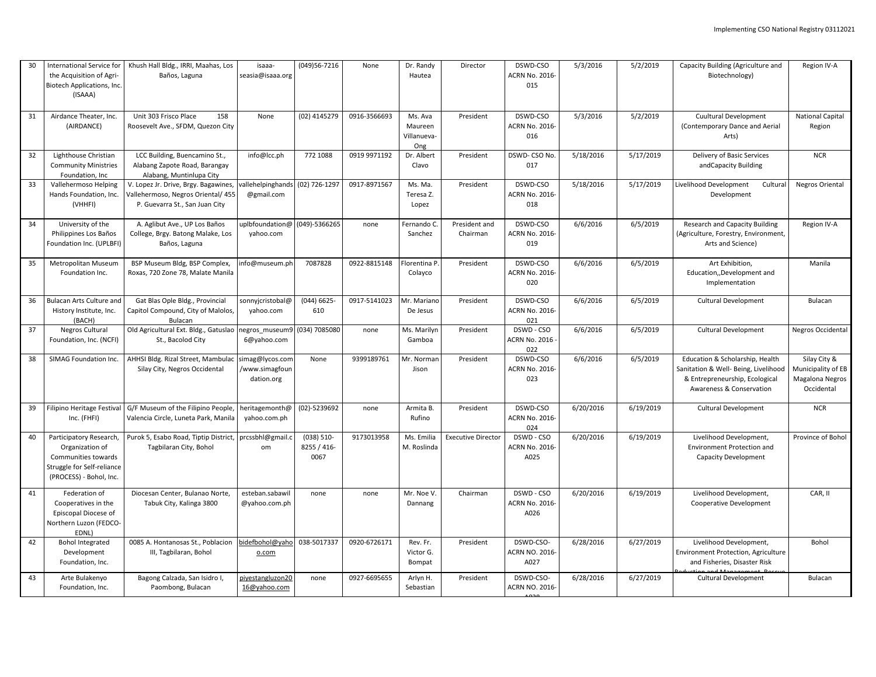| 30 | International Service for<br>the Acquisition of Agri-<br>Biotech Applications, Inc.<br>(ISAAA)                             | Khush Hall Bldg., IRRI, Maahas, Los<br>Baños, Laguna                                                         | isaaa-<br>seasia@isaaa.org                      | (049)56-7216                         | None         | Dr. Randy<br>Hautea                      | Director                  | DSWD-CSO<br><b>ACRN No. 2016-</b><br>015    | 5/3/2016  | 5/2/2019  | Capacity Building (Agriculture and<br>Biotechnology)                                                                                  | Region IV-A                                                         |
|----|----------------------------------------------------------------------------------------------------------------------------|--------------------------------------------------------------------------------------------------------------|-------------------------------------------------|--------------------------------------|--------------|------------------------------------------|---------------------------|---------------------------------------------|-----------|-----------|---------------------------------------------------------------------------------------------------------------------------------------|---------------------------------------------------------------------|
| 31 | Airdance Theater, Inc.<br>(AIRDANCE)                                                                                       | Unit 303 Frisco Place<br>158<br>Roosevelt Ave., SFDM, Quezon City                                            | None                                            | (02) 4145279                         | 0916-3566693 | Ms. Ava<br>Maureen<br>Villanueva-<br>Ong | President                 | DSWD-CSO<br><b>ACRN No. 2016-</b><br>016    | 5/3/2016  | 5/2/2019  | Cuultural Development<br>(Contemporary Dance and Aerial<br>Arts)                                                                      | <b>National Capital</b><br>Region                                   |
| 32 | Lighthouse Christian<br><b>Community Ministries</b><br>Foundation, Inc                                                     | LCC Building, Buencamino St.,<br>Alabang Zapote Road, Barangay<br>Alabang, Muntinlupa City                   | info@lcc.ph                                     | 772 1088                             | 0919 9971192 | Dr. Albert<br>Clavo                      | President                 | DSWD-CSO No<br>017                          | 5/18/2016 | 5/17/2019 | Delivery of Basic Services<br>andCapacity Building                                                                                    | <b>NCR</b>                                                          |
| 33 | Vallehermoso Helping<br>Hands Foundation, Inc.<br>(VHHFI)                                                                  | V. Lopez Jr. Drive, Brgy. Bagawines,<br>Vallehermoso, Negros Oriental/ 455<br>P. Guevarra St., San Juan City | vallehelpinghands (02) 726-1297<br>@gmail.com   |                                      | 0917-8971567 | Ms. Ma.<br>Teresa Z.<br>Lopez            | President                 | DSWD-CSO<br><b>ACRN No. 2016-</b><br>018    | 5/18/2016 | 5/17/2019 | Livelihood Development<br>Cultural<br>Development                                                                                     | Negros Oriental                                                     |
| 34 | University of the<br>Philippines Los Baños<br>Foundation Inc. (UPLBFI)                                                     | A. Aglibut Ave., UP Los Baños<br>College, Brgy. Batong Malake, Los<br>Baños, Laguna                          | uplbfoundation@ (049)-5366265<br>vahoo.com      |                                      | none         | Fernando C<br>Sanchez                    | President and<br>Chairman | DSWD-CSO<br>ACRN No. 2016-<br>019           | 6/6/2016  | 6/5/2019  | <b>Research and Capacity Building</b><br>(Agriculture, Forestry, Environment,<br>Arts and Science)                                    | Region IV-A                                                         |
| 35 | Metropolitan Museum<br>Foundation Inc.                                                                                     | BSP Museum Bldg, BSP Complex,<br>Roxas, 720 Zone 78, Malate Manila                                           | info@museum.ph                                  | 7087828                              | 0922-8815148 | Florentina P<br>Colayco                  | President                 | DSWD-CSO<br><b>ACRN No. 2016-</b><br>020    | 6/6/2016  | 6/5/2019  | Art Exhibition,<br>Education,, Development and<br>Implementation                                                                      | Manila                                                              |
| 36 | Bulacan Arts Culture and<br>History Institute, Inc.<br>(BACH)                                                              | Gat Blas Ople Bldg., Provincial<br>Capitol Compound, City of Malolos,<br>Bulacan                             | sonnyjcristobal@<br>yahoo.com                   | (044) 6625-<br>610                   | 0917-5141023 | Mr. Mariano<br>De Jesus                  | President                 | DSWD-CSO<br><b>ACRN No. 2016-</b><br>021    | 6/6/2016  | 6/5/2019  | <b>Cultural Development</b>                                                                                                           | Bulacan                                                             |
| 37 | Negros Cultural<br>Foundation, Inc. (NCFI)                                                                                 | Old Agricultural Ext. Bldg., Gatuslao<br>St., Bacolod City                                                   | negros_museum9 (034) 7085080<br>6@yahoo.com     |                                      | none         | Ms. Marilyn<br>Gamboa                    | President                 | DSWD - CSO<br><b>ACRN No. 2016</b><br>022   | 6/6/2016  | 6/5/2019  | <b>Cultural Development</b>                                                                                                           | Negros Occidental                                                   |
| 38 | SIMAG Foundation Inc.                                                                                                      | AHHSI Bldg. Rizal Street, Mambulac<br>Silay City, Negros Occidental                                          | simag@lycos.com<br>/www.simagfoun<br>dation.org | None                                 | 9399189761   | Mr. Norman<br>Jison                      | President                 | DSWD-CSO<br><b>ACRN No. 2016-</b><br>023    | 6/6/2016  | 6/5/2019  | Education & Scholarship, Health<br>Sanitation & Well- Being, Livelihood<br>& Entrepreneurship, Ecological<br>Awareness & Conservation | Silay City &<br>Municipality of EB<br>Magalona Negros<br>Occidental |
| 39 | Filipino Heritage Festival<br>Inc. (FHFI)                                                                                  | G/F Museum of the Filipino People,<br>Valencia Circle, Luneta Park, Manila                                   | heritagemonth@<br>yahoo.com.ph                  | (02)-5239692                         | none         | Armita B.<br>Rufino                      | President                 | DSWD-CSO<br><b>ACRN No. 2016-</b><br>024    | 6/20/2016 | 6/19/2019 | Cultural Development                                                                                                                  | <b>NCR</b>                                                          |
| 40 | Participatory Research,<br>Organization of<br>Communities towards<br>Struggle for Self-reliance<br>(PROCESS) - Bohol, Inc. | Purok 5, Esabo Road, Tiptip District<br>Tagbilaran City, Bohol                                               | prcssbhl@gmail.<br>om                           | $(038) 510 -$<br>8255 / 416-<br>0067 | 9173013958   | Ms. Emilia<br>M. Roslinda                | <b>Executive Director</b> | DSWD - CSO<br><b>ACRN No. 2016-</b><br>A025 | 6/20/2016 | 6/19/2019 | Livelihood Development,<br>Environment Protection and<br><b>Capacity Development</b>                                                  | Province of Bohol                                                   |
| 41 | Federation of<br>Cooperatives in the<br>Episcopal Diocese of<br>Northern Luzon (FEDCO-<br>EDNL)                            | Diocesan Center, Bulanao Norte,<br>Tabuk City, Kalinga 3800                                                  | esteban.sabawil<br>@yahoo.com.ph                | none                                 | none         | Mr. Noe V.<br>Dannang                    | Chairman                  | DSWD - CSO<br><b>ACRN No. 2016-</b><br>A026 | 6/20/2016 | 6/19/2019 | Livelihood Development,<br>Cooperative Development                                                                                    | CAR, II                                                             |
| 42 | <b>Bohol Integrated</b><br>Development<br>Foundation, Inc.                                                                 | 0085 A. Hontanosas St., Poblacion<br>III, Tagbilaran, Bohol                                                  | bidefbohol@yaho<br>o.com                        | 038-5017337                          | 0920-6726171 | Rev. Fr.<br>Victor G.<br>Bompat          | President                 | DSWD-CSO-<br><b>ACRN NO. 2016-</b><br>A027  | 6/28/2016 | 6/27/2019 | Livelihood Development,<br>Environment Protection, Agriculture<br>and Fisheries, Disaster Risk                                        | Bohol                                                               |
| 43 | Arte Bulakenyo<br>Foundation, Inc.                                                                                         | Bagong Calzada, San Isidro I,<br>Paombong, Bulacan                                                           | piyestangluzon20<br>16@yahoo.com                | none                                 | 0927-6695655 | Arlyn H.<br>Sebastian                    | President                 | DSWD-CSO-<br><b>ACRN NO. 2016-</b>          | 6/28/2016 | 6/27/2019 | <b>Cultural Development</b>                                                                                                           | Bulacan                                                             |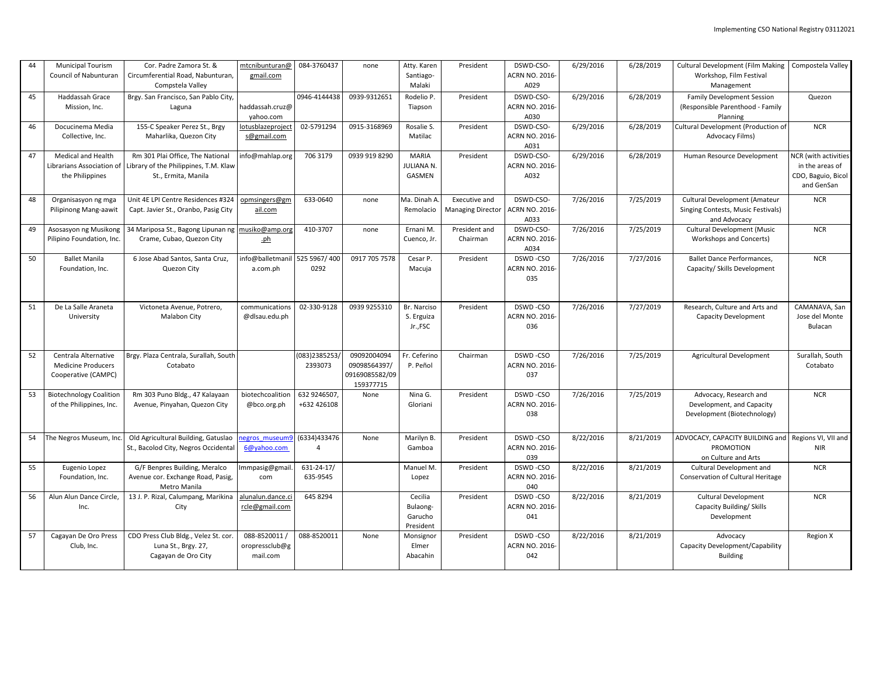| 44 | Municipal Tourism<br><b>Council of Nabunturan</b>                         | Cor. Padre Zamora St. &<br>Circumferential Road, Nabunturan,<br>Compstela Valley                 | mtcnibunturan@<br>gmail.com                 | 084-3760437                    | none                                                       | Atty. Karen<br>Santiago-<br>Malaki          | President                          | DSWD-CSO-<br><b>ACRN NO. 2016-</b><br>A029 | 6/29/2016 | 6/28/2019 | Cultural Development (Film Making<br>Workshop, Film Festival<br>Management          | Compostela Valley                                                                  |
|----|---------------------------------------------------------------------------|--------------------------------------------------------------------------------------------------|---------------------------------------------|--------------------------------|------------------------------------------------------------|---------------------------------------------|------------------------------------|--------------------------------------------|-----------|-----------|-------------------------------------------------------------------------------------|------------------------------------------------------------------------------------|
| 45 | Haddassah Grace<br>Mission, Inc.                                          | Brgy. San Francisco, San Pablo City,<br>Laguna                                                   | haddassah.cruz@<br>yahoo.com                | 0946-4144438                   | 0939-9312651                                               | Rodelio P.<br>Tiapson                       | President                          | DSWD-CSO-<br>ACRN NO. 2016-<br>A030        | 6/29/2016 | 6/28/2019 | <b>Family Development Session</b><br>(Responsible Parenthood - Family<br>Planning   | Quezon                                                                             |
| 46 | Docucinema Media<br>Collective, Inc.                                      | 155-C Speaker Perez St., Brgy<br>Maharlika, Quezon City                                          | otusblazeproject<br>s@gmail.com             | 02-5791294                     | 0915-3168969                                               | Rosalie S.<br>Matilac                       | President                          | DSWD-CSO-<br><b>ACRN NO. 2016-</b><br>A031 | 6/29/2016 | 6/28/2019 | Cultural Development (Production of<br><b>Advocacy Films)</b>                       | <b>NCR</b>                                                                         |
| 47 | <b>Medical and Health</b><br>Librarians Association of<br>the Philippines | Rm 301 Plai Office, The National<br>Library of the Philippines, T.M. Klaw<br>St., Ermita, Manila | info@mahlap.org                             | 706 3179                       | 0939 919 8290                                              | <b>MARIA</b><br>JULIANA N.<br>GASMEN        | President                          | DSWD-CSO-<br><b>ACRN NO. 2016-</b><br>A032 | 6/29/2016 | 6/28/2019 | Human Resource Development                                                          | <b>NCR</b> (with activities<br>in the areas of<br>CDO, Baguio, Bicol<br>and GenSan |
| 48 | Organisasyon ng mga<br>Pilipinong Mang-aawit                              | Unit 4E LPI Centre Residences #324<br>Capt. Javier St., Oranbo, Pasig City                       | opmsingers@gm<br>ail.com                    | 633-0640                       | none                                                       | Ma. Dinah A.<br>Remolacio                   | Executive and<br>Managing Director | DSWD-CSO-<br><b>ACRN NO. 2016-</b><br>A033 | 7/26/2016 | 7/25/2019 | Cultural Development (Amateur<br>Singing Contests, Music Festivals)<br>and Advocacy | <b>NCR</b>                                                                         |
| 49 | Asosasyon ng Musikong<br>Pilipino Foundation, Inc.                        | 34 Mariposa St., Bagong Lipunan ng<br>Crame, Cubao, Quezon City                                  | musiko@amp.org<br>$ph$                      | 410-3707                       | none                                                       | Ernani M.<br>Cuenco, Jr.                    | President and<br>Chairman          | DSWD-CSO-<br><b>ACRN NO. 2016-</b><br>A034 | 7/26/2016 | 7/25/2019 | <b>Cultural Development (Music</b><br>Workshops and Concerts)                       | <b>NCR</b>                                                                         |
| 50 | <b>Ballet Manila</b><br>Foundation, Inc.                                  | 6 Jose Abad Santos, Santa Cruz,<br>Quezon City                                                   | info@balletmani<br>a.com.ph                 | 525 5967/400<br>0292           | 0917 705 7578                                              | Cesar P.<br>Macuja                          | President                          | DSWD-CSO<br><b>ACRN NO. 2016-</b><br>035   | 7/26/2016 | 7/27/2016 | <b>Ballet Dance Performances,</b><br>Capacity/ Skills Development                   | <b>NCR</b>                                                                         |
| 51 | De La Salle Araneta<br>University                                         | Victoneta Avenue, Potrero,<br>Malabon City                                                       | communications<br>@dlsau.edu.ph             | 02-330-9128                    | 0939 9255310                                               | Br. Narciso<br>S. Erguiza<br>Jr.,FSC        | President                          | DSWD-CSO<br><b>ACRN NO. 2016-</b><br>036   | 7/26/2016 | 7/27/2019 | Research, Culture and Arts and<br>Capacity Development                              | CAMANAVA, San<br>Jose del Monte<br>Bulacan                                         |
| 52 | Centrala Alternative<br><b>Medicine Producers</b><br>Cooperative (CAMPC)  | Brgy. Plaza Centrala, Surallah, South<br>Cotabato                                                |                                             | 083)2385253/<br>2393073        | 09092004094<br>09098564397/<br>09169085582/09<br>159377715 | Fr. Ceferino<br>P. Peñol                    | Chairman                           | DSWD-CSO<br><b>ACRN NO. 2016-</b><br>037   | 7/26/2016 | 7/25/2019 | Agricultural Development                                                            | Surallah, South<br>Cotabato                                                        |
| 53 | <b>Biotechnology Coalition</b><br>of the Philippines, Inc.                | Rm 303 Puno Bldg., 47 Kalayaan<br>Avenue, Pinyahan, Quezon City                                  | biotechcoalition<br>@bco.org.ph             | 632 9246507,<br>+632 426108    | None                                                       | Nina G.<br>Gloriani                         | President                          | DSWD-CSO<br><b>ACRN NO. 2016-</b><br>038   | 7/26/2016 | 7/25/2019 | Advocacy, Research and<br>Development, and Capacity<br>Development (Biotechnology)  | <b>NCR</b>                                                                         |
| 54 | The Negros Museum, Inc                                                    | Old Agricultural Building, Gatuslao<br>St., Bacolod City, Negros Occidental                      | egros museum!<br>6@yahoo.com                | (6334)433476<br>$\overline{a}$ | None                                                       | Marilyn B.<br>Gamboa                        | President                          | DSWD-CSO<br><b>ACRN NO. 2016-</b><br>039   | 8/22/2016 | 8/21/2019 | ADVOCACY, CAPACITY BUILDING and<br>PROMOTION<br>on Culture and Arts                 | Regions VI, VII and<br><b>NIR</b>                                                  |
| 55 | Eugenio Lopez<br>Foundation, Inc.                                         | G/F Benpres Building, Meralco<br>Avenue cor. Exchange Road, Pasig,<br>Metro Manila               | Immpasig@gmail<br>com                       | 631-24-17/<br>635-9545         |                                                            | Manuel M.<br>Lopez                          | President                          | DSWD-CSO<br>ACRN NO. 2016-<br>040          | 8/22/2016 | 8/21/2019 | Cultural Development and<br>Conservation of Cultural Heritage                       | <b>NCR</b>                                                                         |
| 56 | Alun Alun Dance Circle,<br>Inc.                                           | 13 J. P. Rizal, Calumpang, Marikina<br>City                                                      | alunalun.dance.ci<br>rcle@gmail.com         | 645 8294                       |                                                            | Cecilia<br>Bulaong-<br>Garucho<br>President | President                          | DSWD-CSO<br><b>ACRN NO. 2016-</b><br>041   | 8/22/2016 | 8/21/2019 | Cultural Development<br>Capacity Building/ Skills<br>Development                    | <b>NCR</b>                                                                         |
| 57 | Cagayan De Oro Press<br>Club, Inc.                                        | CDO Press Club Bldg., Velez St. cor.<br>Luna St., Brgy. 27,<br>Cagayan de Oro City               | 088-8520011 /<br>oropressclub@g<br>mail.com | 088-8520011                    | None                                                       | Monsignor<br>Elmer<br>Abacahin              | President                          | DSWD-CSO<br><b>ACRN NO. 2016-</b><br>042   | 8/22/2016 | 8/21/2019 | Advocacy<br>Capacity Development/Capability<br><b>Building</b>                      | Region X                                                                           |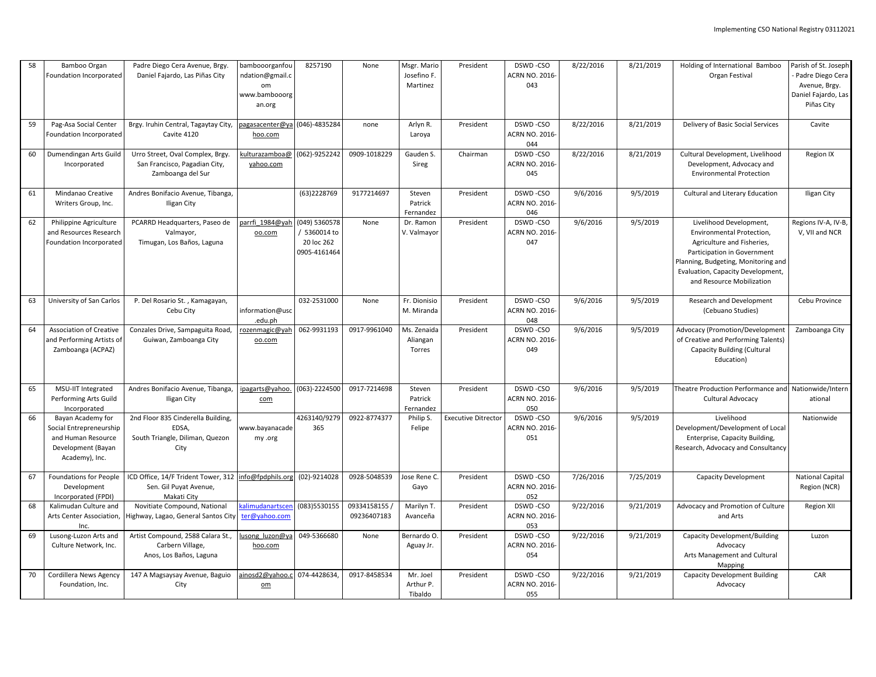| 58 | Bamboo Organ<br>Foundation Incorporated                                                                    | Padre Diego Cera Avenue, Brgy.<br>Daniel Fajardo, Las Piñas City                               | bambooorganfou<br>ndation@gmail.c<br>om<br>www.bambooorg<br>an.org | 8257190                                                   | None                         | Msgr. Mario<br>Josefino F.<br>Martinez | President                  | DSWD-CSO<br><b>ACRN NO. 2016-</b><br>043 | 8/22/2016 | 8/21/2019 | Holding of International Bamboo<br>Organ Festival                                                                                                                                                                          | Parish of St. Joseph<br>Padre Diego Cera<br>Avenue, Brgy.<br>Daniel Fajardo, Las<br>Piñas City |
|----|------------------------------------------------------------------------------------------------------------|------------------------------------------------------------------------------------------------|--------------------------------------------------------------------|-----------------------------------------------------------|------------------------------|----------------------------------------|----------------------------|------------------------------------------|-----------|-----------|----------------------------------------------------------------------------------------------------------------------------------------------------------------------------------------------------------------------------|------------------------------------------------------------------------------------------------|
| 59 | Pag-Asa Social Center<br>Foundation Incorporated                                                           | Brgy. Iruhin Central, Tagaytay City,<br>Cavite 4120                                            | pagasacenter@ya<br>hoo.com                                         | (046)-4835284                                             | none                         | Arlyn R.<br>Laroya                     | President                  | DSWD-CSO<br><b>ACRN NO. 2016-</b><br>044 | 8/22/2016 | 8/21/2019 | Delivery of Basic Social Services                                                                                                                                                                                          | Cavite                                                                                         |
| 60 | Dumendingan Arts Guild<br>Incorporated                                                                     | Urro Street, Oval Complex, Brgy.<br>San Francisco, Pagadian City,<br>Zamboanga del Sur         | culturazamboa@<br>yahoo.com                                        | (062)-9252242                                             | 0909-1018229                 | Gauden S.<br>Sireg                     | Chairman                   | DSWD-CSO<br><b>ACRN NO. 2016-</b><br>045 | 8/22/2016 | 8/21/2019 | Cultural Development, Livelihood<br>Development, Advocacy and<br><b>Environmental Protection</b>                                                                                                                           | Region IX                                                                                      |
| 61 | Mindanao Creative<br>Writers Group, Inc.                                                                   | Andres Bonifacio Avenue, Tibanga,<br>Iligan City                                               |                                                                    | (63)2228769                                               | 9177214697                   | Steven<br>Patrick<br>Fernandez         | President                  | DSWD-CSO<br><b>ACRN NO. 2016-</b><br>046 | 9/6/2016  | 9/5/2019  | Cultural and Literary Education                                                                                                                                                                                            | Iligan City                                                                                    |
| 62 | Philippine Agriculture<br>and Resources Research<br>Foundation Incorporated                                | PCARRD Headquarters, Paseo de<br>Valmayor,<br>Timugan, Los Baños, Laguna                       | parrfi 1984@yah<br>oo.com                                          | (049) 5360578<br>5360014 to<br>20 loc 262<br>0905-4161464 | None                         | Dr. Ramon<br>V. Valmayor               | President                  | DSWD-CSO<br><b>ACRN NO. 2016-</b><br>047 | 9/6/2016  | 9/5/2019  | Livelihood Development,<br>Environmental Protection,<br>Agriculture and Fisheries,<br>Participation in Government<br>Planning, Budgeting, Monitoring and<br>Evaluation, Capacity Development,<br>and Resource Mobilization | Regions IV-A, IV-B,<br>V, VII and NCR                                                          |
| 63 | University of San Carlos                                                                                   | P. Del Rosario St., Kamagayan,<br>Cebu City                                                    | information@usc<br>.edu.ph                                         | 032-2531000                                               | None                         | Fr. Dionisio<br>M. Miranda             | President                  | DSWD-CSO<br><b>ACRN NO. 2016-</b><br>048 | 9/6/2016  | 9/5/2019  | Research and Development<br>(Cebuano Studies)                                                                                                                                                                              | Cebu Province                                                                                  |
| 64 | Association of Creative<br>and Performing Artists of<br>Zamboanga (ACPAZ)                                  | Conzales Drive, Sampaguita Road,<br>Guiwan, Zamboanga City                                     | rozenmagic@yah<br>00.COM                                           | 062-9931193                                               | 0917-9961040                 | Ms. Zenaida<br>Aliangan<br>Torres      | President                  | DSWD-CSO<br><b>ACRN NO. 2016-</b><br>049 | 9/6/2016  | 9/5/2019  | Advocacy (Promotion/Development<br>of Creative and Performing Talents)<br><b>Capacity Building (Cultural</b><br>Education)                                                                                                 | Zamboanga City                                                                                 |
| 65 | MSU-IIT Integrated<br>Performing Arts Guild<br>Incorporated                                                | Andres Bonifacio Avenue, Tibanga,<br>Iligan City                                               | ipagarts@yahoo. (063)-2224500<br>com                               |                                                           | 0917-7214698                 | Steven<br>Patrick<br>Fernandez         | President                  | DSWD-CSO<br><b>ACRN NO. 2016-</b><br>050 | 9/6/2016  | 9/5/2019  | Theatre Production Performance and<br>Cultural Advocacy                                                                                                                                                                    | Nationwide/Intern<br>ational                                                                   |
| 66 | Bayan Academy for<br>Social Entrepreneurship<br>and Human Resource<br>Development (Bayan<br>Academy), Inc. | 2nd Floor 835 Cinderella Building,<br>EDSA,<br>South Triangle, Diliman, Quezon<br>City         | www.bayanacade<br>my .org                                          | 4263140/9279<br>365                                       | 0922-8774377                 | Philip S.<br>Felipe                    | <b>Executive Ditrector</b> | DSWD-CSO<br>ACRN NO. 2016-<br>051        | 9/6/2016  | 9/5/2019  | Livelihood<br>Development/Development of Local<br>Enterprise, Capacity Building,<br>Research, Advocacy and Consultancy                                                                                                     | Nationwide                                                                                     |
| 67 | Foundations for People<br>Development<br>Incorporated (FPDI)                                               | ICD Office, 14/F Trident Tower, 312 Info@fpdphils.org<br>Sen. Gil Puyat Avenue,<br>Makati City |                                                                    | (02)-9214028                                              | 0928-5048539                 | lose Rene C.<br>Gayo                   | President                  | DSWD-CSO<br><b>ACRN NO. 2016-</b><br>052 | 7/26/2016 | 7/25/2019 | Capacity Development                                                                                                                                                                                                       | <b>National Capital</b><br>Region (NCR)                                                        |
| 68 | Kalimudan Culture and<br>Arts Center Association,<br>Inc.                                                  | Novitiate Compound, National<br>Highway, Lagao, General Santos City                            | kalimudanartscer<br>ter@yahoo.com                                  | (083)5530155                                              | 09334158155 /<br>09236407183 | Marilyn T.<br>Avanceña                 | President                  | DSWD-CSO<br><b>ACRN NO. 2016-</b><br>053 | 9/22/2016 | 9/21/2019 | Advocacy and Promotion of Culture<br>and Arts                                                                                                                                                                              | Region XII                                                                                     |
| 69 | Lusong-Luzon Arts and<br>Culture Network, Inc.                                                             | Artist Compound, 2588 Calara St.,<br>Carbern Village,<br>Anos, Los Baños, Laguna               | lusong luzon@ya<br>hoo.com                                         | 049-5366680                                               | None                         | Bernardo O.<br>Aguay Jr.               | President                  | DSWD-CSO<br><b>ACRN NO. 2016-</b><br>054 | 9/22/2016 | 9/21/2019 | Capacity Development/Building<br>Advocacy<br>Arts Management and Cultural<br>Mapping                                                                                                                                       | Luzon                                                                                          |
| 70 | Cordillera News Agency<br>Foundation, Inc.                                                                 | 147 A Magsaysay Avenue, Baguio<br>City                                                         | ainosd2@yahoo.o<br>Qm                                              | 074-4428634,                                              | 0917-8458534                 | Mr. Joel<br>Arthur P.<br>Tibaldo       | President                  | DSWD-CSO<br>ACRN NO. 2016-<br>055        | 9/22/2016 | 9/21/2019 | <b>Capacity Development Building</b><br>Advocacy                                                                                                                                                                           | CAR                                                                                            |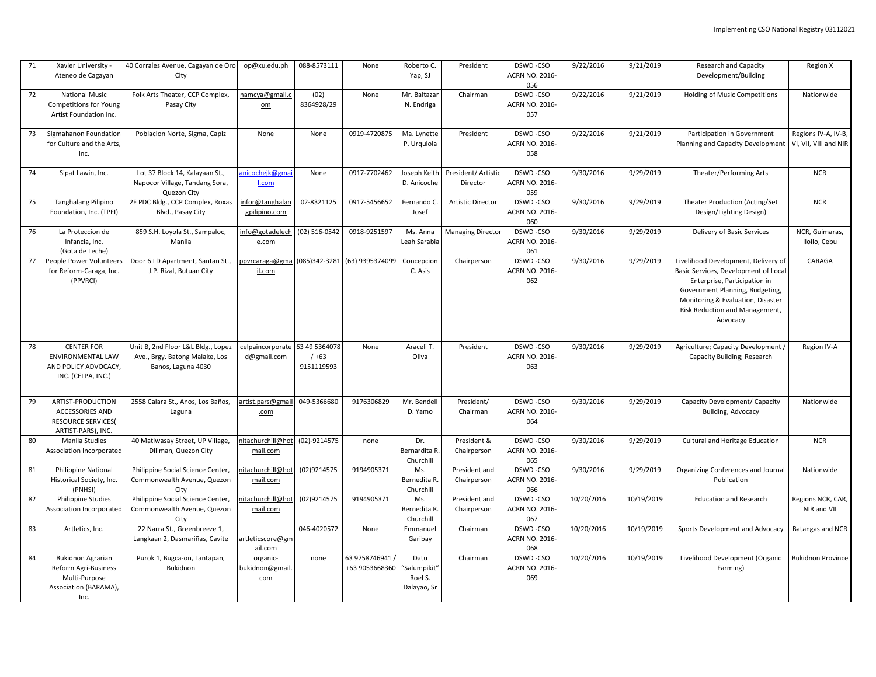| 71 | Xavier University -<br>Ateneo de Cagayan                                                           | 40 Corrales Avenue, Cagayan de Oro<br>City                                                 | op@xu.edu.ph                           | 088-8573111                              | None                              | Roberto C.<br>Yap, SJ                          | President                       | DSWD-CSO<br>ACRN NO. 2016-<br>056        | 9/22/2016  | 9/21/2019  | <b>Research and Capacity</b><br>Development/Building                                                                                                                                                                              | Region X                                     |
|----|----------------------------------------------------------------------------------------------------|--------------------------------------------------------------------------------------------|----------------------------------------|------------------------------------------|-----------------------------------|------------------------------------------------|---------------------------------|------------------------------------------|------------|------------|-----------------------------------------------------------------------------------------------------------------------------------------------------------------------------------------------------------------------------------|----------------------------------------------|
| 72 | <b>National Music</b><br><b>Competitions for Young</b><br>Artist Foundation Inc.                   | Folk Arts Theater, CCP Complex,<br>Pasay City                                              | namcya@gmail.c<br>$om$                 | (02)<br>8364928/29                       | None                              | Mr. Baltazar<br>N. Endriga                     | Chairman                        | DSWD-CSO<br>ACRN NO. 2016-<br>057        | 9/22/2016  | 9/21/2019  | Holding of Music Competitions                                                                                                                                                                                                     | Nationwide                                   |
| 73 | Sigmahanon Foundation<br>for Culture and the Arts,<br>Inc.                                         | Poblacion Norte, Sigma, Capiz                                                              | None                                   | None                                     | 0919-4720875                      | Ma. Lynette<br>P. Urquiola                     | President                       | DSWD-CSO<br><b>ACRN NO. 2016-</b><br>058 | 9/22/2016  | 9/21/2019  | Participation in Government<br>Planning and Capacity Development                                                                                                                                                                  | Regions IV-A, IV-B,<br>VI, VII, VIII and NIR |
| 74 | Sipat Lawin, Inc.                                                                                  | Lot 37 Block 14, Kalayaan St.,<br>Napocor Village, Tandang Sora,<br>Quezon City            | anicochejk@gmai<br>I.com               | None                                     | 0917-7702462                      | Joseph Keith<br>D. Anicoche                    | President/ Artistic<br>Director | DSWD-CSO<br><b>ACRN NO. 2016-</b><br>059 | 9/30/2016  | 9/29/2019  | Theater/Performing Arts                                                                                                                                                                                                           | <b>NCR</b>                                   |
| 75 | <b>Tanghalang Pilipino</b><br>Foundation, Inc. (TPFI)                                              | 2F PDC Bldg., CCP Complex, Roxas<br>Blvd., Pasay City                                      | infor@tanghalan<br>gpilipino.com       | 02-8321125                               | 0917-5456652                      | Fernando C.<br>Josef                           | <b>Artistic Director</b>        | DSWD-CSO<br><b>ACRN NO. 2016-</b><br>060 | 9/30/2016  | 9/29/2019  | Theater Production (Acting/Set<br>Design/Lighting Design)                                                                                                                                                                         | <b>NCR</b>                                   |
| 76 | La Proteccion de<br>Infancia, Inc.<br>(Gota de Leche)                                              | 859 S.H. Loyola St., Sampaloc,<br>Manila                                                   | info@gotadelech<br>e.com               | $(02) 516 - 0542$                        | 0918-9251597                      | Ms. Anna<br>eah Sarabia                        | <b>Managing Director</b>        | DSWD-CSO<br><b>ACRN NO. 2016-</b><br>061 | 9/30/2016  | 9/29/2019  | Delivery of Basic Services                                                                                                                                                                                                        | NCR, Guimaras,<br>Iloilo, Cebu               |
| 77 | People Power Volunteer:<br>for Reform-Caraga, Inc.<br>(PPVRCI)                                     | Door 6 LD Apartment, Santan St.,<br>J.P. Rizal, Butuan City                                | ppvrcaraga@gma (085)342-3281<br>il.com |                                          | (63) 9395374099                   | Concepcion<br>C. Asis                          | Chairperson                     | DSWD-CSO<br><b>ACRN NO. 2016-</b><br>062 | 9/30/2016  | 9/29/2019  | Livelihood Development, Delivery of<br>Basic Services, Development of Local<br>Enterprise, Participation in<br>Government Planning, Budgeting,<br>Monitoring & Evaluation, Disaster<br>Risk Reduction and Management,<br>Advocacy | CARAGA                                       |
| 78 | <b>CENTER FOR</b><br><b>ENVIRONMENTAL LAW</b><br>AND POLICY ADVOCACY<br>INC. (CELPA, INC.)         | Unit B, 2nd Floor L&L Bldg., Lopez<br>Ave., Brgy. Batong Malake, Los<br>Banos, Laguna 4030 | celpaincorporate<br>d@gmail.com        | 63 49 53 64 078<br>$/ +63$<br>9151119593 | None                              | Araceli T.<br>Oliva                            | President                       | DSWD-CSO<br><b>ACRN NO. 2016-</b><br>063 | 9/30/2016  | 9/29/2019  | Agriculture; Capacity Development<br>Capacity Building; Research                                                                                                                                                                  | Region IV-A                                  |
| 79 | ARTIST-PRODUCTION<br>ACCESSORIES AND<br><b>RESOURCE SERVICES(</b><br>ARTIST-PARS), INC.            | 2558 Calara St., Anos, Los Baños,<br>Laguna                                                | artist.pars@gmai<br>.com               | 049-5366680                              | 9176306829                        | Mr. Bendell<br>D. Yamo                         | President/<br>Chairman          | DSWD-CSO<br><b>ACRN NO. 2016-</b><br>064 | 9/30/2016  | 9/29/2019  | Capacity Development/ Capacity<br>Building, Advocacy                                                                                                                                                                              | Nationwide                                   |
| 80 | Manila Studies<br>Association Incorporated                                                         | 40 Matiwasay Street, UP Village,<br>Diliman, Quezon City                                   | nitachurchill@hot<br>mail.com          | (02)-9214575                             | none                              | Dr.<br>Bernardita R<br>Churchill               | President &<br>Chairperson      | DSWD-CSO<br><b>ACRN NO. 2016-</b><br>065 | 9/30/2016  | 9/29/2019  | Cultural and Heritage Education                                                                                                                                                                                                   | <b>NCR</b>                                   |
| 81 | Philippine National<br>Historical Society, Inc.<br>(PNHSI)                                         | Philippine Social Science Center,<br>Commonwealth Avenue, Quezon<br>City                   | nitachurchill@hot<br>mail.com          | (02)9214575                              | 9194905371                        | Ms.<br>Bernedita R.<br>Churchill               | President and<br>Chairperson    | DSWD-CSO<br><b>ACRN NO. 2016-</b><br>066 | 9/30/2016  | 9/29/2019  | Organizing Conferences and Journal<br>Publication                                                                                                                                                                                 | Nationwide                                   |
| 82 | Philippine Studies<br>Association Incorporated                                                     | Philippine Social Science Center,<br>Commonwealth Avenue, Quezon<br>City                   | nitachurchill@hot<br>mail.com          | (02)9214575                              | 9194905371                        | Ms.<br>Bernedita R.<br>Churchill               | President and<br>Chairperson    | DSWD-CSO<br><b>ACRN NO. 2016-</b><br>067 | 10/20/2016 | 10/19/2019 | <b>Education and Research</b>                                                                                                                                                                                                     | Regions NCR, CAR,<br>NIR and VII             |
| 83 | Artletics, Inc.                                                                                    | 22 Narra St., Greenbreeze 1,<br>Langkaan 2, Dasmariñas, Cavite                             | artleticscore@gm<br>ail.com            | 046-4020572                              | None                              | Emmanuel<br>Garibay                            | Chairman                        | DSWD-CSO<br><b>ACRN NO. 2016-</b><br>068 | 10/20/2016 | 10/19/2019 | Sports Development and Advocacy                                                                                                                                                                                                   | Batangas and NCR                             |
| 84 | <b>Bukidnon Agrarian</b><br>Reform Agri-Business<br>Multi-Purpose<br>Association (BARAMA),<br>Inc. | Purok 1, Bugca-on, Lantapan,<br>Bukidnon                                                   | organic-<br>bukidnon@gmail.<br>com     | none                                     | 63 9758746941 /<br>+63 9053668360 | Datu<br>"Salumpikit"<br>Roel S.<br>Dalayao, Sr | Chairman                        | DSWD-CSO<br><b>ACRN NO. 2016-</b><br>069 | 10/20/2016 | 10/19/2019 | Livelihood Development (Organic<br>Farming)                                                                                                                                                                                       | <b>Bukidnon Province</b>                     |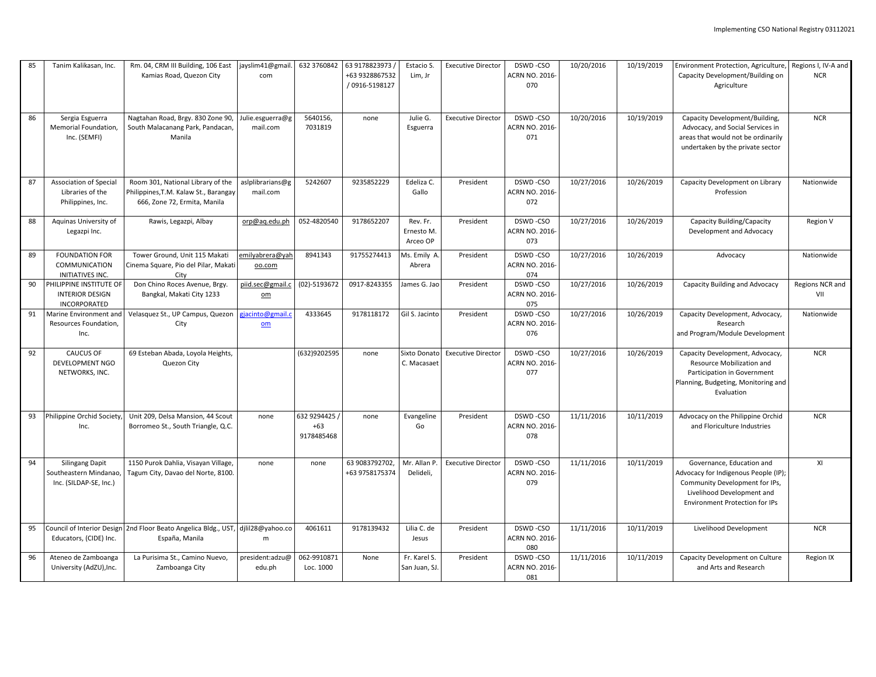| 85 | Tanim Kalikasan, Inc.                                                     | Rm. 04, CRM III Building, 106 East<br>Kamias Road, Quezon City                                             | jayslim41@gmail.<br>com      | 632 3760842                          | 63 9178823973 /<br>+63 9328867532<br>/ 0916-5198127 | Estacio S.<br>Lim, Jr              | <b>Executive Director</b> | DSWD-CSO<br><b>ACRN NO. 2016-</b><br>070 | 10/20/2016 | 10/19/2019 | Environment Protection, Agriculture,<br>Capacity Development/Building on<br>Agriculture                                                                                   | Regions I, IV-A and<br><b>NCR</b> |
|----|---------------------------------------------------------------------------|------------------------------------------------------------------------------------------------------------|------------------------------|--------------------------------------|-----------------------------------------------------|------------------------------------|---------------------------|------------------------------------------|------------|------------|---------------------------------------------------------------------------------------------------------------------------------------------------------------------------|-----------------------------------|
| 86 | Sergia Esguerra<br>Memorial Foundation,<br>Inc. (SEMFI)                   | Nagtahan Road, Brgy. 830 Zone 90,<br>South Malacanang Park, Pandacan,<br>Manila                            | Julie.esguerra@g<br>mail.com | 5640156,<br>7031819                  | none                                                | Julie G.<br>Esguerra               | <b>Executive Director</b> | DSWD-CSO<br><b>ACRN NO. 2016-</b><br>071 | 10/20/2016 | 10/19/2019 | Capacity Development/Building,<br>Advocacy, and Social Services in<br>areas that would not be ordinarily<br>undertaken by the private sector                              | <b>NCR</b>                        |
| 87 | Association of Special<br>Libraries of the<br>Philippines, Inc.           | Room 301, National Library of the<br>Philippines, T.M. Kalaw St., Barangay<br>666, Zone 72, Ermita, Manila | aslplibrarians@g<br>mail.com | 5242607                              | 9235852229                                          | Edeliza C.<br>Gallo                | President                 | DSWD-CSO<br><b>ACRN NO. 2016-</b><br>072 | 10/27/2016 | 10/26/2019 | Capacity Development on Library<br>Profession                                                                                                                             | Nationwide                        |
| 88 | Aquinas University of<br>Legazpi Inc.                                     | Rawis, Legazpi, Albay                                                                                      | orp@ag.edu.ph                | 052-4820540                          | 9178652207                                          | Rev. Fr.<br>Ernesto M.<br>Arceo OP | President                 | DSWD-CSO<br>ACRN NO. 2016-<br>073        | 10/27/2016 | 10/26/2019 | Capacity Building/Capacity<br>Development and Advocacy                                                                                                                    | Region V                          |
| 89 | <b>FOUNDATION FOR</b><br>COMMUNICATION<br>INITIATIVES INC.                | Tower Ground, Unit 115 Makati<br>Cinema Square, Pio del Pilar, Makati<br>City                              | emilyabrera@yah<br>oo.com    | 8941343                              | 91755274413                                         | Ms. Emily A.<br>Abrera             | President                 | DSWD-CSO<br><b>ACRN NO. 2016-</b><br>074 | 10/27/2016 | 10/26/2019 | Advocacy                                                                                                                                                                  | Nationwide                        |
| 90 | PHILIPPINE INSTITUTE OF<br><b>INTERIOR DESIGN</b><br>INCORPORATED         | Don Chino Roces Avenue, Brgy.<br>Bangkal, Makati City 1233                                                 | piid.sec@gmail.<br>$om$      | (02)-5193672                         | 0917-8243355                                        | James G. Jao                       | President                 | DSWD-CSO<br><b>ACRN NO. 2016-</b><br>075 | 10/27/2016 | 10/26/2019 | Capacity Building and Advocacy                                                                                                                                            | Regions NCR and<br>VII            |
| 91 | Marine Environment and<br>Resources Foundation,<br>Inc.                   | Velasquez St., UP Campus, Quezon<br>City                                                                   | gjacinto@gmail.c<br>$om$     | 4333645                              | 9178118172                                          | Gil S. Jacinto                     | President                 | DSWD-CSO<br><b>ACRN NO. 2016-</b><br>076 | 10/27/2016 | 10/26/2019 | Capacity Development, Advocacy,<br>Research<br>and Program/Module Development                                                                                             | Nationwide                        |
| 92 | <b>CAUCUS OF</b><br>DEVELOPMENT NGO<br>NETWORKS, INC.                     | 69 Esteban Abada, Loyola Heights,<br>Quezon City                                                           |                              | (632)9202595                         | none                                                | Sixto Donato<br>C. Macasaet        | <b>Executive Director</b> | DSWD-CSO<br><b>ACRN NO. 2016-</b><br>077 | 10/27/2016 | 10/26/2019 | Capacity Development, Advocacy,<br>Resource Mobilization and<br>Participation in Government<br>Planning, Budgeting, Monitoring and<br>Evaluation                          | <b>NCR</b>                        |
| 93 | Philippine Orchid Society<br>Inc.                                         | Unit 209, Delsa Mansion, 44 Scout<br>Borromeo St., South Triangle, Q.C.                                    | none                         | 632 9294425 /<br>$+63$<br>9178485468 | none                                                | Evangeline<br>Go                   | President                 | DSWD-CSO<br><b>ACRN NO. 2016-</b><br>078 | 11/11/2016 | 10/11/2019 | Advocacy on the Philippine Orchid<br>and Floriculture Industries                                                                                                          | <b>NCR</b>                        |
| 94 | <b>Silingang Dapit</b><br>Southeastern Mindanao<br>Inc. (SILDAP-SE, Inc.) | 1150 Purok Dahlia, Visayan Village,<br>Tagum City, Davao del Norte, 8100.                                  | none                         | none                                 | 63 9083792702,<br>+63 9758175374                    | Mr. Allan P.<br>Delideli,          | <b>Executive Director</b> | DSWD-CSO<br><b>ACRN NO. 2016-</b><br>079 | 11/11/2016 | 10/11/2019 | Governance, Education and<br>Advocacy for Indigenous People (IP)<br>Community Development for IPs,<br>Livelihood Development and<br><b>Environment Protection for IPs</b> | XI                                |
| 95 | Council of Interior Design<br>Educators, (CIDE) Inc.                      | 2nd Floor Beato Angelica Bldg., UST, djlil28@yahoo.co<br>España, Manila                                    | m                            | 4061611                              | 9178139432                                          | Lilia C. de<br>Jesus               | President                 | DSWD-CSO<br><b>ACRN NO. 2016-</b><br>080 | 11/11/2016 | 10/11/2019 | Livelihood Development                                                                                                                                                    | <b>NCR</b>                        |
| 96 | Ateneo de Zamboanga<br>University (AdZU), Inc.                            | La Purisima St., Camino Nuevo,<br>Zamboanga City                                                           | president:adzu@<br>edu.ph    | 062-9910871<br>Loc. 1000             | None                                                | Fr. Karel S.<br>San Juan, SJ.      | President                 | DSWD-CSO<br><b>ACRN NO. 2016-</b><br>081 | 11/11/2016 | 10/11/2019 | Capacity Development on Culture<br>and Arts and Research                                                                                                                  | Region IX                         |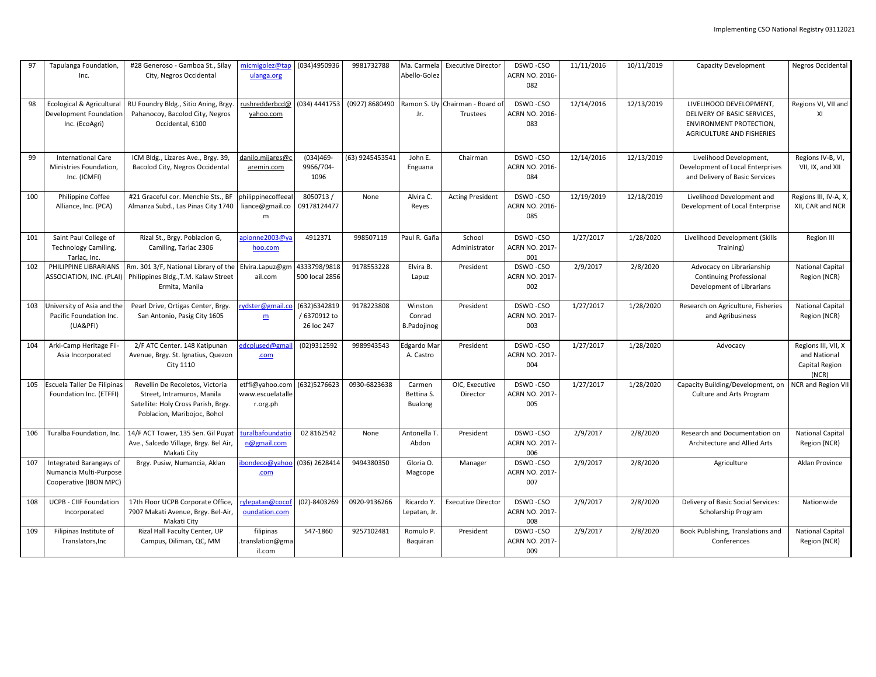| 97  | Tapulanga Foundation,<br>Inc.                                               | #28 Generoso - Gamboa St., Silay<br>City, Negros Occidental                                                                         | micmigolez@tar<br>ulanga.org                    | (034)4950936                              | 9981732788      | Ma. Carmela<br>Abello-Golez             | <b>Executive Director</b>                   | DSWD-CSO<br><b>ACRN NO. 2016-</b><br>082 | 11/11/2016 | 10/11/2019 | Capacity Development                                                                                           | Negros Occidental                                              |
|-----|-----------------------------------------------------------------------------|-------------------------------------------------------------------------------------------------------------------------------------|-------------------------------------------------|-------------------------------------------|-----------------|-----------------------------------------|---------------------------------------------|------------------------------------------|------------|------------|----------------------------------------------------------------------------------------------------------------|----------------------------------------------------------------|
| 98  | Ecological & Agricultural<br>Development Foundation<br>Inc. (EcoAgri)       | RU Foundry Bldg., Sitio Aning, Brgy<br>Pahanocoy, Bacolod City, Negros<br>Occidental, 6100                                          | rushredderbcd@<br>yahoo.com                     | (034) 4441753                             | (0927) 8680490  | Jr.                                     | Ramon S. Uy Chairman - Board of<br>Trustees | DSWD-CSO<br><b>ACRN NO. 2016-</b><br>083 | 12/14/2016 | 12/13/2019 | LIVELIHOOD DEVELOPMENT,<br>DELIVERY OF BASIC SERVICES,<br>ENVIRONMENT PROTECTION,<br>AGRICULTURE AND FISHERIES | Regions VI, VII and<br>XI                                      |
| 99  | <b>International Care</b><br>Ministries Foundation,<br>Inc. (ICMFI)         | ICM Bldg., Lizares Ave., Brgy. 39,<br>Bacolod City, Negros Occidental                                                               | danilo.mijares@o<br>aremin.com                  | $(034)469 -$<br>9966/704-<br>1096         | (63) 9245453541 | John E.<br>Enguana                      | Chairman                                    | DSWD-CSO<br><b>ACRN NO. 2016-</b><br>084 | 12/14/2016 | 12/13/2019 | Livelihood Development,<br>Development of Local Enterprises<br>and Delivery of Basic Services                  | Regions IV-B, VI,<br>VII, IX, and XII                          |
| 100 | Philippine Coffee<br>Alliance, Inc. (PCA)                                   | #21 Graceful cor. Menchie Sts., BF<br>Almanza Subd., Las Pinas City 1740                                                            | philippinecoffeeal<br>liance@gmail.co<br>m      | 8050713/<br>09178124477                   | None            | Alvira C.<br>Reyes                      | <b>Acting President</b>                     | DSWD-CSO<br><b>ACRN NO. 2016-</b><br>085 | 12/19/2019 | 12/18/2019 | Livelihood Development and<br>Development of Local Enterprise                                                  | Regions III, IV-A, X,<br>XII, CAR and NCR                      |
| 101 | Saint Paul College of<br>Technology Camiling,<br>Tarlac, Inc.               | Rizal St., Brgy. Poblacion G,<br>Camiling, Tarlac 2306                                                                              | pionne2003@<br>hoo.com                          | 4912371                                   | 998507119       | Paul R. Gaña                            | School<br>Administrator                     | DSWD-CSO<br><b>ACRN NO. 2017-</b><br>001 | 1/27/2017  | 1/28/2020  | Livelihood Development (Skills<br>Training)                                                                    | <b>Region III</b>                                              |
| 102 | PHILIPPINE LIBRARIANS<br>ASSOCIATION, INC. (PLAI)                           | Rm. 301 3/F, National Library of the<br>Philippines Bldg., T.M. Kalaw Street<br>Ermita, Manila                                      | Elvira.Lapuz@gr<br>ail.com                      | 4333798/9818<br>500 local 2856            | 9178553228      | Elvira B.<br>Lapuz                      | President                                   | DSWD-CSO<br><b>ACRN NO. 2017-</b><br>002 | 2/9/2017   | 2/8/2020   | Advocacy on Librarianship<br><b>Continuing Professional</b><br>Development of Librarians                       | <b>National Capital</b><br>Region (NCR)                        |
| 103 | University of Asia and the<br>Pacific Foundation Inc.<br>(UA&PFI)           | Pearl Drive, Ortigas Center, Brgy<br>San Antonio, Pasig City 1605                                                                   | vdster@gmail.co<br>$\underline{\mathsf{m}}$     | 632)6342819<br>/ 6370912 to<br>26 loc 247 | 9178223808      | Winston<br>Conrad<br><b>B.Padojinog</b> | President                                   | DSWD-CSO<br><b>ACRN NO. 2017-</b><br>003 | 1/27/2017  | 1/28/2020  | Research on Agriculture, Fisheries<br>and Agribusiness                                                         | National Capital<br>Region (NCR)                               |
| 104 | Arki-Camp Heritage Fil-<br>Asia Incorporated                                | 2/F ATC Center. 148 Katipunan<br>Avenue, Brgy. St. Ignatius, Quezon<br>City 1110                                                    | edcplused@gma<br>.com                           | (02)9312592                               | 9989943543      | Edgardo Mar<br>A. Castro                | President                                   | DSWD-CSO<br><b>ACRN NO. 2017-</b><br>004 | 1/27/2017  | 1/28/2020  | Advocacy                                                                                                       | Regions III, VII, X<br>and National<br>Capital Region<br>(NCR) |
| 105 | Escuela Taller De Filipinas<br>Foundation Inc. (ETFFI)                      | Revellin De Recoletos, Victoria<br>Street, Intramuros, Manila<br>Satellite: Holy Cross Parish, Brgy.<br>Poblacion, Maribojoc, Bohol | etffi@yahoo.com<br>www.escuelatalle<br>r.org.ph | (632)5276623                              | 0930-6823638    | Carmen<br>Bettina S.<br>Bualong         | OIC, Executive<br>Director                  | DSWD-CSO<br><b>ACRN NO. 2017-</b><br>005 | 1/27/2017  | 1/28/2020  | Capacity Building/Development, on<br>Culture and Arts Program                                                  | NCR and Region VII                                             |
| 106 | Turalba Foundation, Inc.                                                    | 14/F ACT Tower, 135 Sen. Gil Puyat<br>Ave., Salcedo Village, Brgy. Bel Air,<br>Makati City                                          | uralbafoundati<br>n@gmail.com                   | 02 8162542                                | None            | Antonella T<br>Abdon                    | President                                   | DSWD-CSO<br><b>ACRN NO. 2017-</b><br>006 | 2/9/2017   | 2/8/2020   | Research and Documentation on<br>Architecture and Allied Arts                                                  | National Capital<br>Region (NCR)                               |
| 107 | Integrated Barangays of<br>Numancia Multi-Purpose<br>Cooperative (IBON MPC) | Brgy. Pusiw, Numancia, Aklan                                                                                                        | ibondeco@yahoo<br>.com                          | (036) 2628414                             | 9494380350      | Gloria O.<br>Magcope                    | Manager                                     | DSWD-CSO<br><b>ACRN NO. 2017-</b><br>007 | 2/9/2017   | 2/8/2020   | Agriculture                                                                                                    | Aklan Province                                                 |
| 108 | UCPB - CIIF Foundation<br>Incorporated                                      | 17th Floor UCPB Corporate Office,<br>7907 Makati Avenue, Brgy. Bel-Air<br>Makati City                                               | rylepatan@coco<br>oundation.com                 | (02)-8403269                              | 0920-9136266    | Ricardo Y.<br>Lepatan, Jr.              | <b>Executive Director</b>                   | DSWD-CSO<br>ACRN NO. 2017-<br>008        | 2/9/2017   | 2/8/2020   | Delivery of Basic Social Services:<br>Scholarship Program                                                      | Nationwide                                                     |
| 109 | Filipinas Institute of<br>Translators, Inc                                  | Rizal Hall Faculty Center, UP<br>Campus, Diliman, QC, MM                                                                            | filipinas<br>translation@gma<br>il.com          | 547-1860                                  | 9257102481      | Romulo P.<br>Baquiran                   | President                                   | DSWD-CSO<br>ACRN NO. 2017-<br>009        | 2/9/2017   | 2/8/2020   | Book Publishing, Translations and<br>Conferences                                                               | National Capital<br>Region (NCR)                               |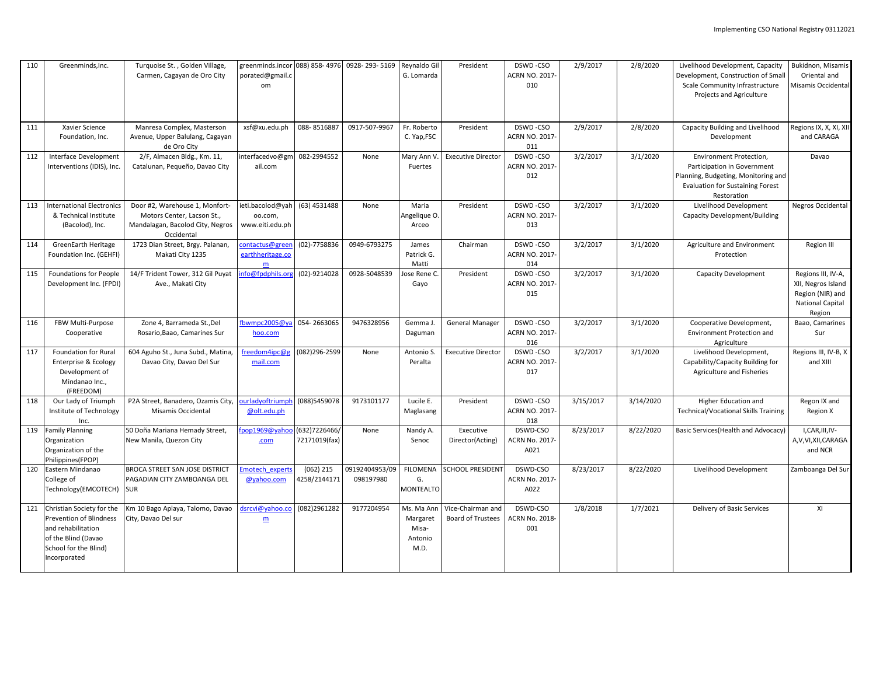| 110 | Greenminds, Inc.                                                                                                                                  | Turquoise St., Golden Village,<br>Carmen, Cagayan de Oro City                                                  | greenminds.incor 088) 858-4976<br>porated@gmail.c<br>om     |                                | 0928-293-5169               | Reynaldo Gil<br>G. Lomarda                         | President                                     | DSWD-CSO<br><b>ACRN NO. 2017-</b><br>010  | 2/9/2017  | 2/8/2020  | Livelihood Development, Capacity<br>Development, Construction of Small<br>Scale Community Infrastructure<br>Projects and Agriculture                    | Bukidnon, Misamis<br>Oriental and<br>Misamis Occidental                                    |
|-----|---------------------------------------------------------------------------------------------------------------------------------------------------|----------------------------------------------------------------------------------------------------------------|-------------------------------------------------------------|--------------------------------|-----------------------------|----------------------------------------------------|-----------------------------------------------|-------------------------------------------|-----------|-----------|---------------------------------------------------------------------------------------------------------------------------------------------------------|--------------------------------------------------------------------------------------------|
| 111 | Xavier Science<br>Foundation, Inc.                                                                                                                | Manresa Complex, Masterson<br>Avenue, Upper Balulang, Cagayan<br>de Oro City                                   | xsf@xu.edu.ph                                               | 088-8516887                    | 0917-507-9967               | Fr. Roberto<br>C. Yap, FSC                         | President                                     | DSWD-CSO<br><b>ACRN NO. 2017-</b><br>011  | 2/9/2017  | 2/8/2020  | Capacity Building and Livelihood<br>Development                                                                                                         | Regions IX, X, XI, XII<br>and CARAGA                                                       |
| 112 | Interface Development<br>Interventions (IDIS), Inc.                                                                                               | 2/F, Almacen Bldg., Km. 11,<br>Catalunan, Pequeño, Davao City                                                  | interfacedvo@gr<br>ail.com                                  | 082-2994552                    | None                        | Mary Ann V.<br>Fuertes                             | <b>Executive Director</b>                     | DSWD-CSO<br><b>ACRN NO. 2017-</b><br>012  | 3/2/2017  | 3/1/2020  | Environment Protection,<br>Participation in Government<br>Planning, Budgeting, Monitoring and<br><b>Evaluation for Sustaining Forest</b><br>Restoration | Davao                                                                                      |
| 113 | <b>International Electronics</b><br>& Technical Institute<br>(Bacolod), Inc.                                                                      | Door #2, Warehouse 1, Monfort-<br>Motors Center, Lacson St.,<br>Mandalagan, Bacolod City, Negros<br>Occidental | ieti.bacolod@yah (63) 4531488<br>oo.com,<br>www.eiti.edu.ph |                                | None                        | Maria<br>Angelique O.<br>Arceo                     | President                                     | DSWD-CSO<br><b>ACRN NO. 2017-</b><br>013  | 3/2/2017  | 3/1/2020  | Livelihood Development<br><b>Capacity Development/Building</b>                                                                                          | Negros Occidental                                                                          |
| 114 | GreenEarth Heritage<br>Foundation Inc. (GEHFI)                                                                                                    | 1723 Dian Street, Brgy. Palanan,<br>Makati City 1235                                                           | contactus@greer<br>earthheritage.co<br>m                    | (02)-7758836                   | 0949-6793275                | James<br>Patrick G.<br>Matti                       | Chairman                                      | DSWD-CSO<br>ACRN NO. 2017-<br>014         | 3/2/2017  | 3/1/2020  | Agriculture and Environment<br>Protection                                                                                                               | Region III                                                                                 |
| 115 | <b>Foundations for People</b><br>Development Inc. (FPDI)                                                                                          | 14/F Trident Tower, 312 Gil Puyat<br>Ave., Makati City                                                         | info@fpdphils.or                                            | (02)-9214028                   | 0928-5048539                | lose Rene C.<br>Gayo                               | President                                     | DSWD-CSO<br><b>ACRN NO. 2017-</b><br>015  | 3/2/2017  | 3/1/2020  | Capacity Development                                                                                                                                    | Regions III, IV-A,<br>XII, Negros Island<br>Region (NIR) and<br>National Capital<br>Region |
| 116 | FBW Multi-Purpose<br>Cooperative                                                                                                                  | Zone 4, Barrameda St., Del<br>Rosario, Baao, Camarines Sur                                                     | fbwmpc2005@<br>hoo.com                                      | 054-2663065                    | 9476328956                  | Gemma J.<br>Daguman                                | <b>General Manager</b>                        | DSWD-CSO<br><b>ACRN NO. 2017-</b><br>016  | 3/2/2017  | 3/1/2020  | Cooperative Development,<br>Environment Protection and<br>Agriculture                                                                                   | Baao, Camarines<br>Sur                                                                     |
| 117 | Foundation for Rural<br>Enterprise & Ecology<br>Development of<br>Mindanao Inc.,<br>(FREEDOM)                                                     | 604 Aguho St., Juna Subd., Matina,<br>Davao City, Davao Del Sur                                                | freedom4ipc@<br>mail.com                                    | (082)296-2599                  | None                        | Antonio S.<br>Peralta                              | <b>Executive Director</b>                     | DSWD-CSO<br><b>ACRN NO. 2017-</b><br>017  | 3/2/2017  | 3/1/2020  | Livelihood Development,<br>Capability/Capacity Building for<br>Agriculture and Fisheries                                                                | Regions III, IV-B, X<br>and XIII                                                           |
| 118 | Our Lady of Triumph<br>Institute of Technology<br>Inc.                                                                                            | P2A Street, Banadero, Ozamis City,<br>Misamis Occidental                                                       | <b>urladyoftriump</b><br>@olt.edu.ph                        | (088)5459078                   | 9173101177                  | Lucile E.<br>Maglasang                             | President                                     | DSWD-CSO<br><b>ACRN NO. 2017-</b><br>018  | 3/15/2017 | 3/14/2020 | Higher Education and<br>Technical/Vocational Skills Training                                                                                            | Regon IX and<br>Region X                                                                   |
| 119 | <b>Family Planning</b><br>Organization<br>Organization of the<br>Philippines(FPOP)                                                                | 50 Doña Mariana Hemady Street,<br>New Manila, Quezon City                                                      | pop1969@yaho<br>.com                                        | (632)7226466/<br>72171019(fax) | None                        | Nandy A.<br>Senoc                                  | Executive<br>Director(Acting)                 | DSWD-CSO<br><b>ACRN No. 2017-</b><br>A021 | 8/23/2017 | 8/22/2020 | Basic Services (Health and Advocacy)                                                                                                                    | I,CAR, III, IV-<br>A, V, VI, XII, CARAGA<br>and NCR                                        |
| 120 | Eastern Mindanao<br>College of<br>Technology(EMCOTECH)                                                                                            | BROCA STREET SAN JOSE DISTRICT<br>PAGADIAN CITY ZAMBOANGA DEL<br><b>SUR</b>                                    | motech expert<br>@yahoo.com                                 | $(062)$ 215<br>4258/2144171    | 09192404953/09<br>098197980 | <b>FILOMENA</b><br>G.<br><b>MONTEALTO</b>          | <b>SCHOOL PRESIDENT</b>                       | DSWD-CSO<br><b>ACRN No. 2017-</b><br>A022 | 8/23/2017 | 8/22/2020 | Livelihood Development                                                                                                                                  | Zamboanga Del Sur                                                                          |
| 121 | Christian Society for the<br><b>Prevention of Blindness</b><br>and rehabilitation<br>of the Blind (Davao<br>School for the Blind)<br>Incorporated | Km 10 Bago Aplaya, Talomo, Davao<br>City, Davao Del sur                                                        | dsrcvi@yahoo.co<br>$\underline{\mathbf{m}}$                 | (082)2961282                   | 9177204954                  | Ms. Ma Ann<br>Margaret<br>Misa-<br>Antonio<br>M.D. | Vice-Chairman and<br><b>Board of Trustees</b> | DSWD-CSO<br><b>ACRN No. 2018-</b><br>001  | 1/8/2018  | 1/7/2021  | Delivery of Basic Services                                                                                                                              | XI                                                                                         |